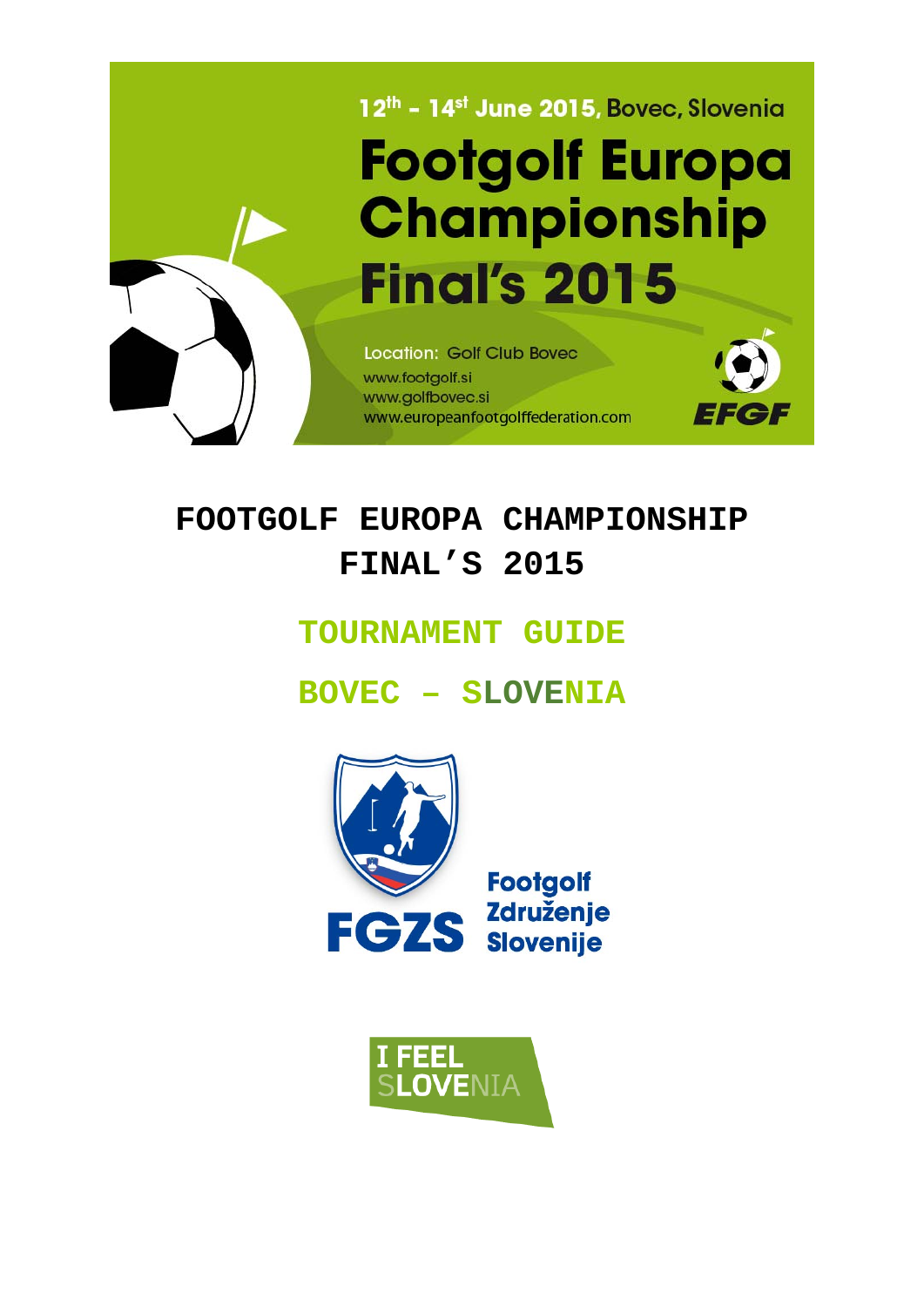

**FOOTGOLF EUROPA CHAMPIONSHIP FINAL'S 2015** 

**TOURNAMENT GUIDE** 

**BOVEC – SLOVENIA** 



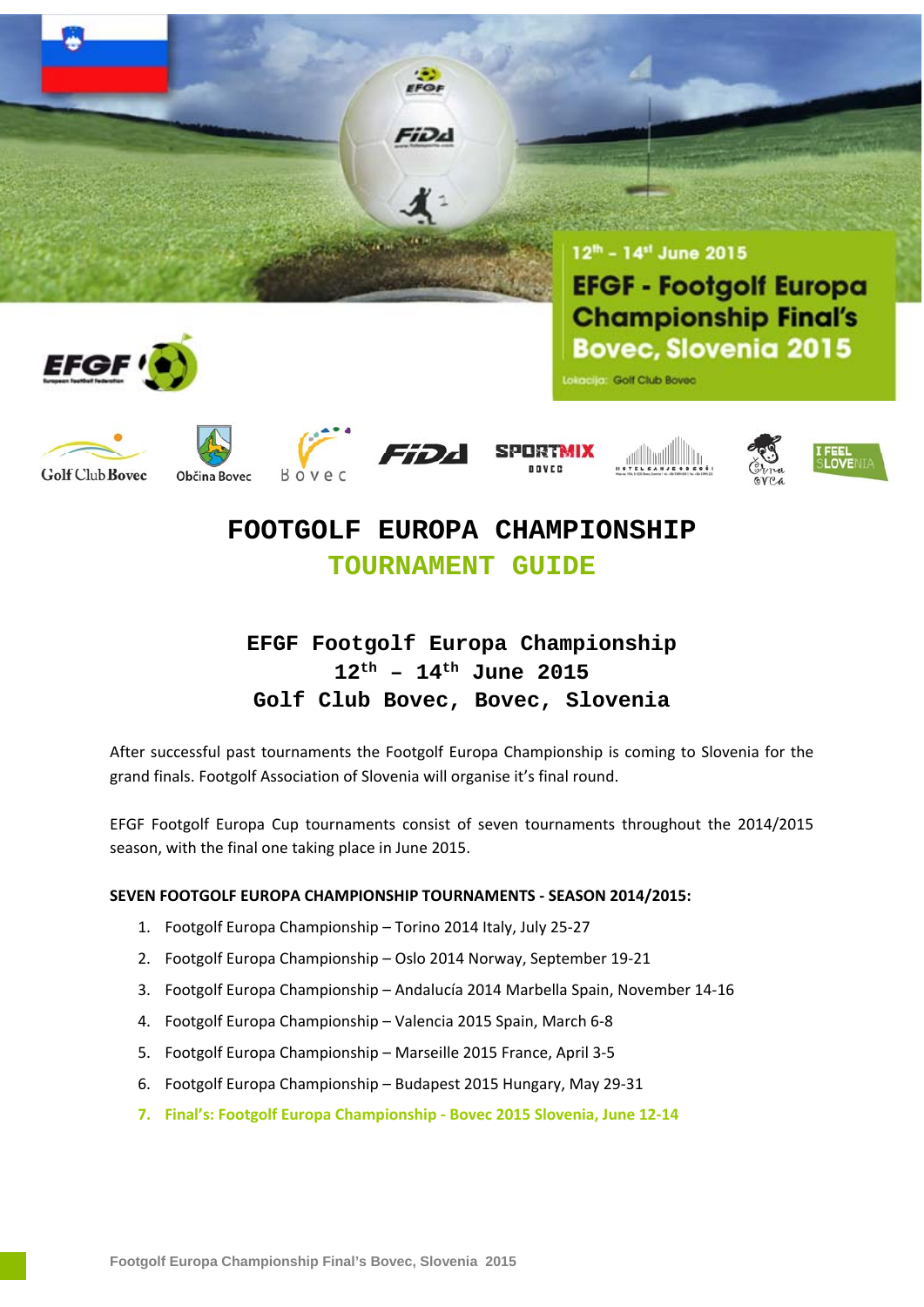

# **FOOTGOLF EUROPA CHAMPIONSHIP TOURNAMENT GUIDE**

## **EFGF Footgolf Europa Championship 12th – 14th June 2015 Golf Club Bovec, Bovec, Slovenia**

After successful past tournaments the Footgolf Europa Championship is coming to Slovenia for the grand finals. Footgolf Association of Slovenia will organise it's final round.

EFGF Footgolf Europa Cup tournaments consist of seven tournaments throughout the 2014/2015 season, with the final one taking place in June 2015.

#### **SEVEN FOOTGOLF EUROPA CHAMPIONSHIP TOURNAMENTS ‐ SEASON 2014/2015:**

- 1. Footgolf Europa Championship Torino 2014 Italy, July 25‐27
- 2. Footgolf Europa Championship Oslo 2014 Norway, September 19‐21
- 3. Footgolf Europa Championship Andalucía 2014 Marbella Spain, November 14‐16
- 4. Footgolf Europa Championship Valencia 2015 Spain, March 6‐8
- 5. Footgolf Europa Championship Marseille 2015 France, April 3‐5
- 6. Footgolf Europa Championship Budapest 2015 Hungary, May 29‐31
- **7. Final's: Footgolf Europa Championship ‐ Bovec 2015 Slovenia, June 12‐14**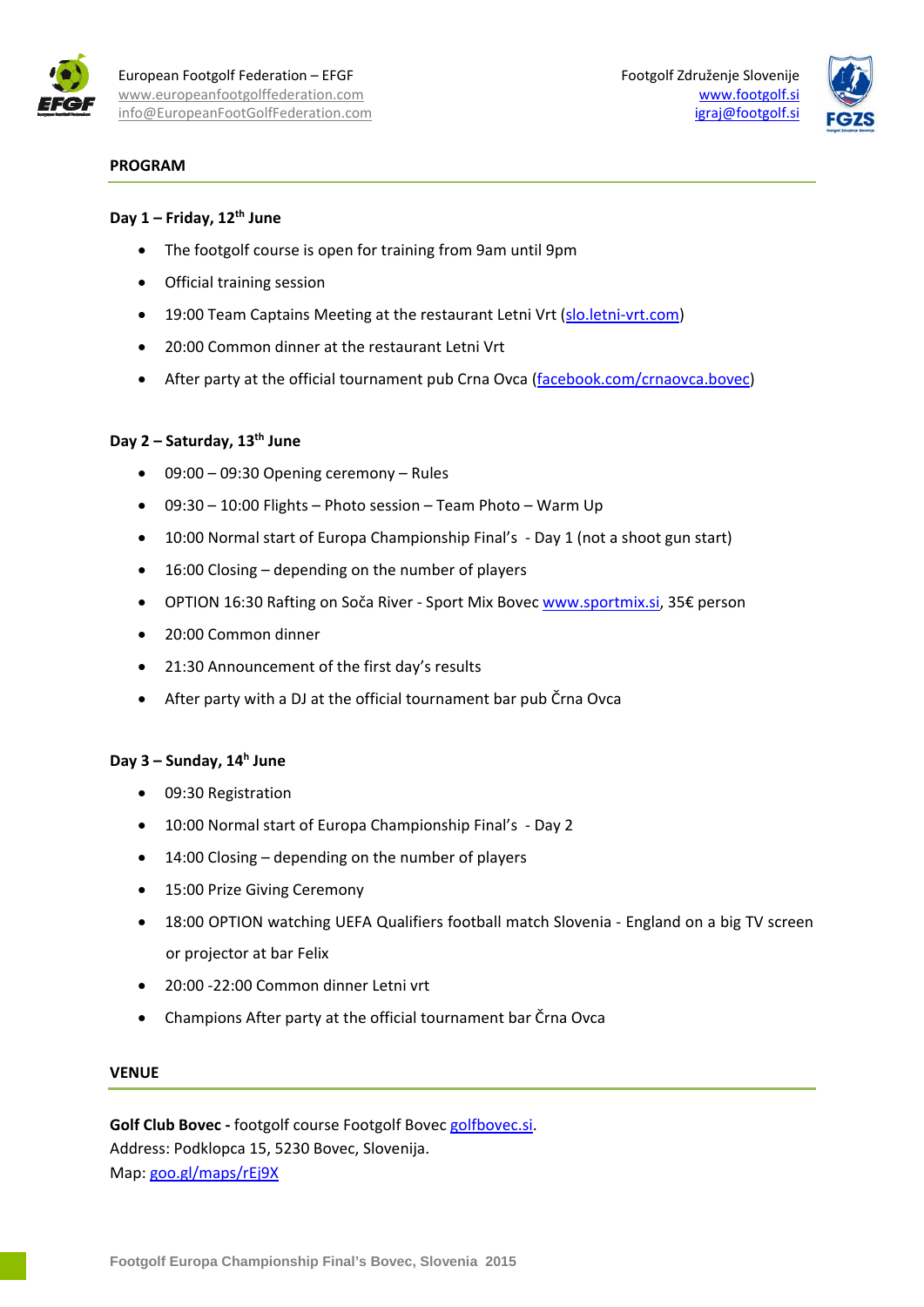



#### **PROGRAM**

#### **Day 1 – Friday, 12th June**

- The footgolf course is open for training from 9am until 9pm
- Official training session
- 19:00 Team Captains Meeting at the restaurant Letni Vrt (slo.letni-vrt.com)
- 20:00 Common dinner at the restaurant Letni Vrt
- After party at the official tournament pub Crna Ovca (facebook.com/crnaovca.bovec)

#### **Day 2 – Saturday, 13th June**

- 09:00 09:30 Opening ceremony Rules
- 09:30 10:00 Flights Photo session Team Photo Warm Up
- 10:00 Normal start of Europa Championship Final's Day 1 (not a shoot gun start)
- 16:00 Closing depending on the number of players
- OPTION 16:30 Rafting on Soča River ‐ Sport Mix Bovec www.sportmix.si, 35€ person
- 20:00 Common dinner
- 21:30 Announcement of the first day's results
- After party with a DJ at the official tournament bar pub Črna Ovca

## **Day 3 – Sunday, 14h June**

- 09:30 Registration
- 10:00 Normal start of Europa Championship Final's Day 2
- 14:00 Closing depending on the number of players
- 15:00 Prize Giving Ceremony
- 18:00 OPTION watching UEFA Qualifiers football match Slovenia England on a big TV screen or projector at bar Felix
- 20:00 -22:00 Common dinner Letni vrt
- Champions After party at the official tournament bar Črna Ovca

#### **VENUE**

**Golf Club Bovec ‐** footgolf course Footgolf Bovec golfbovec.si. Address: Podklopca 15, 5230 Bovec, Slovenija. Map: goo.gl/maps/rEj9X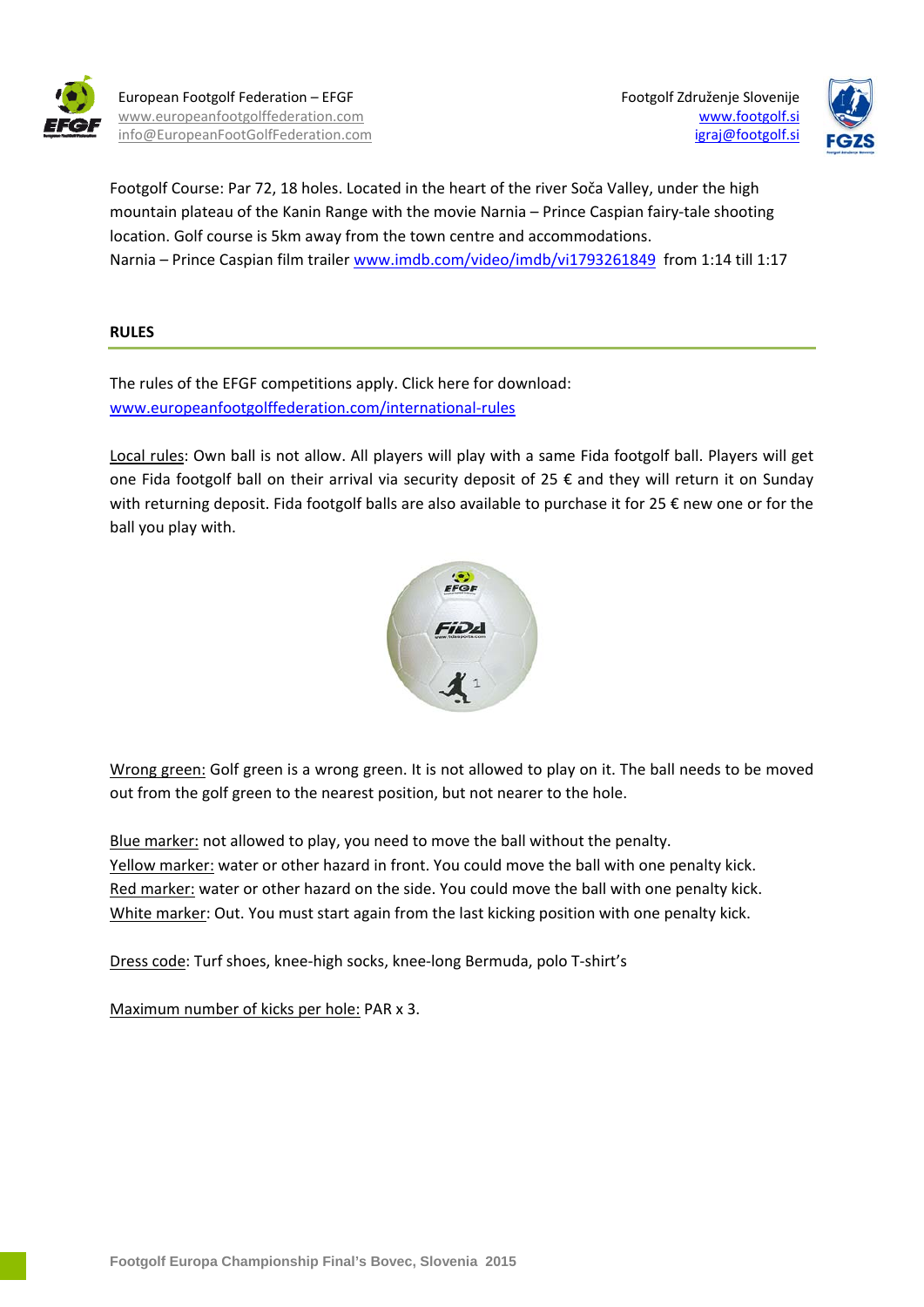

European Footgolf Federation – EFGF www.europeanfootgolffederation.com info@EuropeanFootGolfFederation.com Footgolf Združenje Slovenije www.footgolf.si igraj@footgolf.si



Footgolf Course: Par 72, 18 holes. Located in the heart of the river Soča Valley, under the high mountain plateau of the Kanin Range with the movie Narnia – Prince Caspian fairy-tale shooting location. Golf course is 5km away from the town centre and accommodations. Narnia – Prince Caspian film trailer www.imdb.com/video/imdb/vi1793261849 from 1:14 till 1:17

### **RULES**

The rules of the EFGF competitions apply. Click here for download: www.europeanfootgolffederation.com/international‐rules

Local rules: Own ball is not allow. All players will play with a same Fida footgolf ball. Players will get one Fida footgolf ball on their arrival via security deposit of 25 € and they will return it on Sunday with returning deposit. Fida footgolf balls are also available to purchase it for 25 € new one or for the ball you play with.



Wrong green: Golf green is a wrong green. It is not allowed to play on it. The ball needs to be moved out from the golf green to the nearest position, but not nearer to the hole.

Blue marker: not allowed to play, you need to move the ball without the penalty. Yellow marker: water or other hazard in front. You could move the ball with one penalty kick. Red marker: water or other hazard on the side. You could move the ball with one penalty kick. White marker: Out. You must start again from the last kicking position with one penalty kick.

Dress code: Turf shoes, knee‐high socks, knee‐long Bermuda, polo T‐shirt's

Maximum number of kicks per hole: PAR x 3.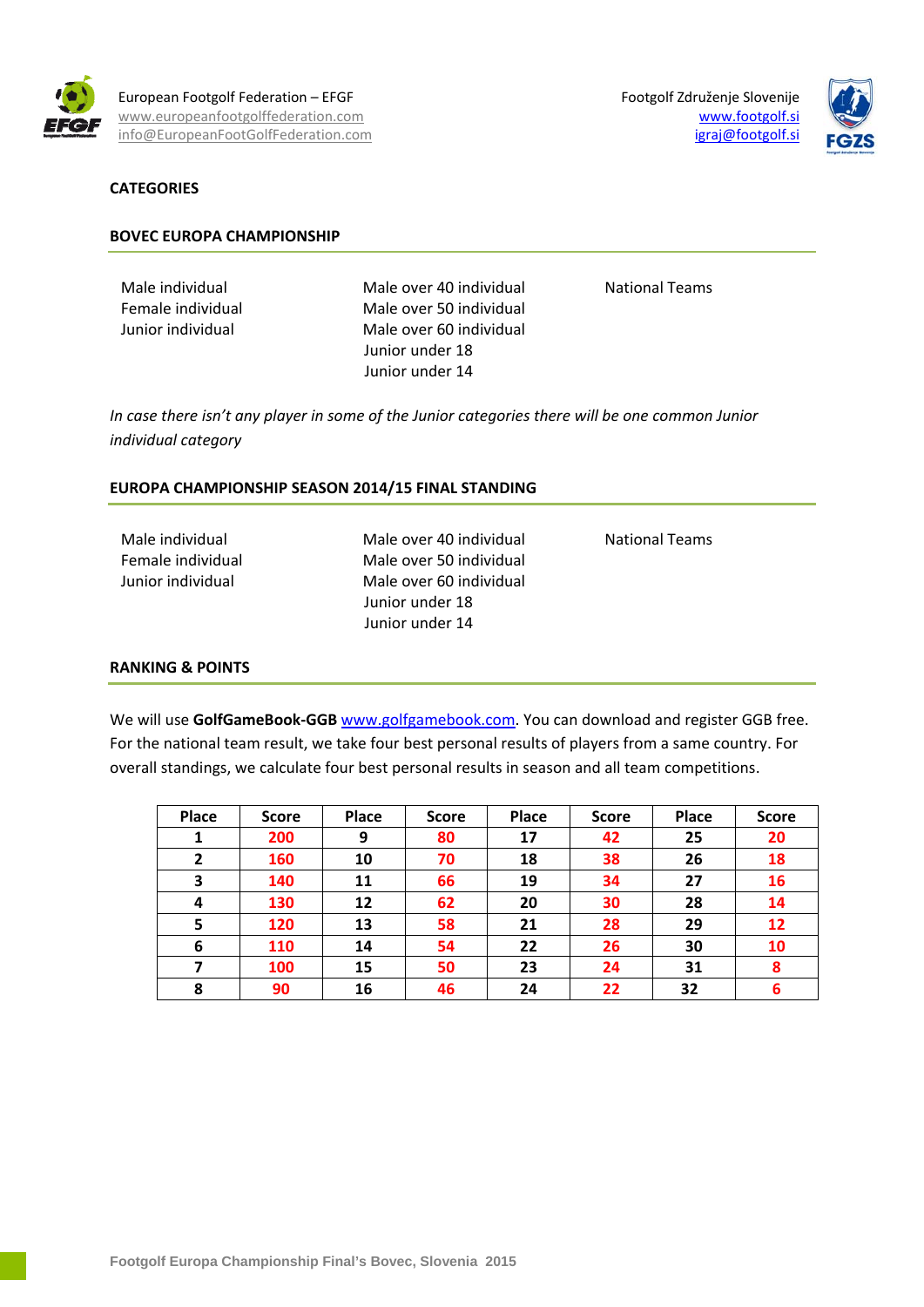

European Footgolf Federation – EFGF www.europeanfootgolffederation.com info@EuropeanFootGolfFederation.com

#### **CATEGORIES**





#### **BOVEC EUROPA CHAMPIONSHIP**

Male individual Female individual Junior individual

Male over 40 individual Male over 50 individual Male over 60 individual Junior under 18 Junior under 14

National Teams

*In case there isn't any player in some of the Junior categories there will be one common Junior individual category*

#### **EUROPA CHAMPIONSHIP SEASON 2014/15 FINAL STANDING**

Male individual Female individual Junior individual

Male over 40 individual Male over 50 individual Male over 60 individual Junior under 18 Junior under 14

National Teams

#### **RANKING & POINTS**

We will use **GolfGameBook‐GGB** www.golfgamebook.com. You can download and register GGB free. For the national team result, we take four best personal results of players from a same country. For overall standings, we calculate four best personal results in season and all team competitions.

| <b>Place</b>   | <b>Score</b> | <b>Place</b> | <b>Score</b> | <b>Place</b> | <b>Score</b> | Place | <b>Score</b> |
|----------------|--------------|--------------|--------------|--------------|--------------|-------|--------------|
| 1              | 200          | 9            | 80           | 17           | 42           | 25    | 20           |
| $\overline{2}$ | 160          | 10           | 70           | 18           | 38           | 26    | 18           |
| 3              | 140          | 11           | 66           | 19           | 34           | 27    | 16           |
| 4              | 130          | 12           | 62           | 20           | 30           | 28    | 14           |
| 5              | 120          | 13           | 58           | 21           | 28           | 29    | 12           |
| 6              | 110          | 14           | 54           | 22           | 26           | 30    | 10           |
| 7              | 100          | 15           | 50           | 23           | 24           | 31    | 8            |
| 8              | 90           | 16           | 46           | 24           | 22           | 32    | 6            |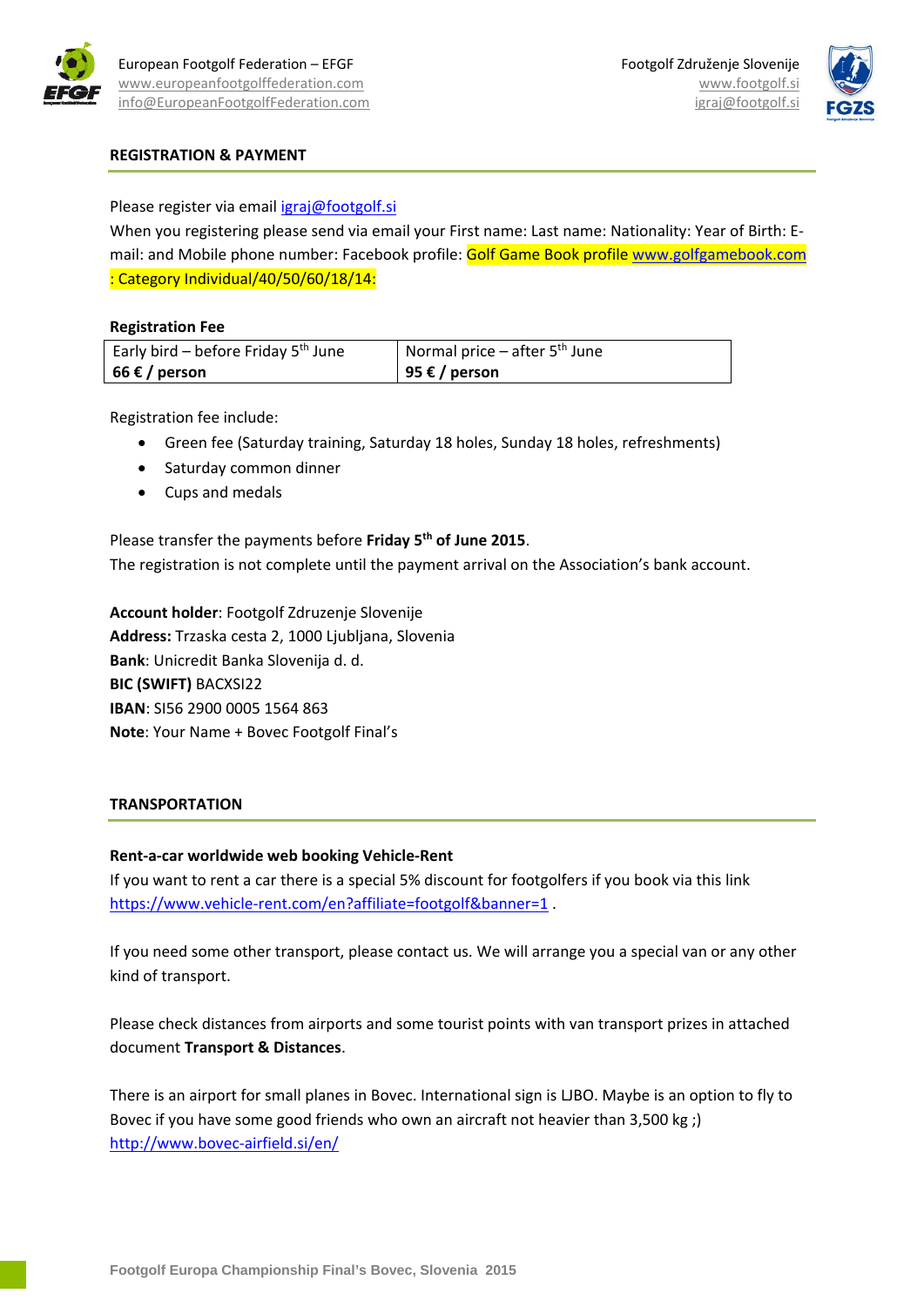



## **REGISTRATION & PAYMENT**

Please register via email igraj@footgolf.si

When you registering please send via email your First name: Last name: Nationality: Year of Birth: Email: and Mobile phone number: Facebook profile: Golf Game Book profile www.golfgamebook.com : Category Individual/40/50/60/18/14:

#### **Registration Fee**

| Early bird – before Friday $5th$ June | Normal price – after $5th$ June |
|---------------------------------------|---------------------------------|
| 66 € / person                         | 95 $\epsilon$ / person          |

Registration fee include:

- Green fee (Saturday training, Saturday 18 holes, Sunday 18 holes, refreshments)
- Saturday common dinner
- Cups and medals

Please transfer the payments before **Friday 5th of June 2015**. The registration is not complete until the payment arrival on the Association's bank account.

**Account holder**: Footgolf Zdruzenje Slovenije **Address:** Trzaska cesta 2, 1000 Ljubljana, Slovenia **Bank**: Unicredit Banka Slovenija d. d. **BIC (SWIFT)** BACXSI22 **IBAN**: SI56 2900 0005 1564 863 **Note**: Your Name + Bovec Footgolf Final's

#### **TRANSPORTATION**

#### **Rent‐a‐car worldwide web booking Vehicle‐Rent**

If you want to rent a car there is a special 5% discount for footgolfers if you book via this link https://www.vehicle-rent.com/en?affiliate=footgolf&banner=1.

If you need some other transport, please contact us. We will arrange you a special van or any other kind of transport.

Please check distances from airports and some tourist points with van transport prizes in attached document **Transport & Distances**.

There is an airport for small planes in Bovec. International sign is LJBO. Maybe is an option to fly to Bovec if you have some good friends who own an aircraft not heavier than 3,500 kg ;) http://www.bovec-airfield.si/en/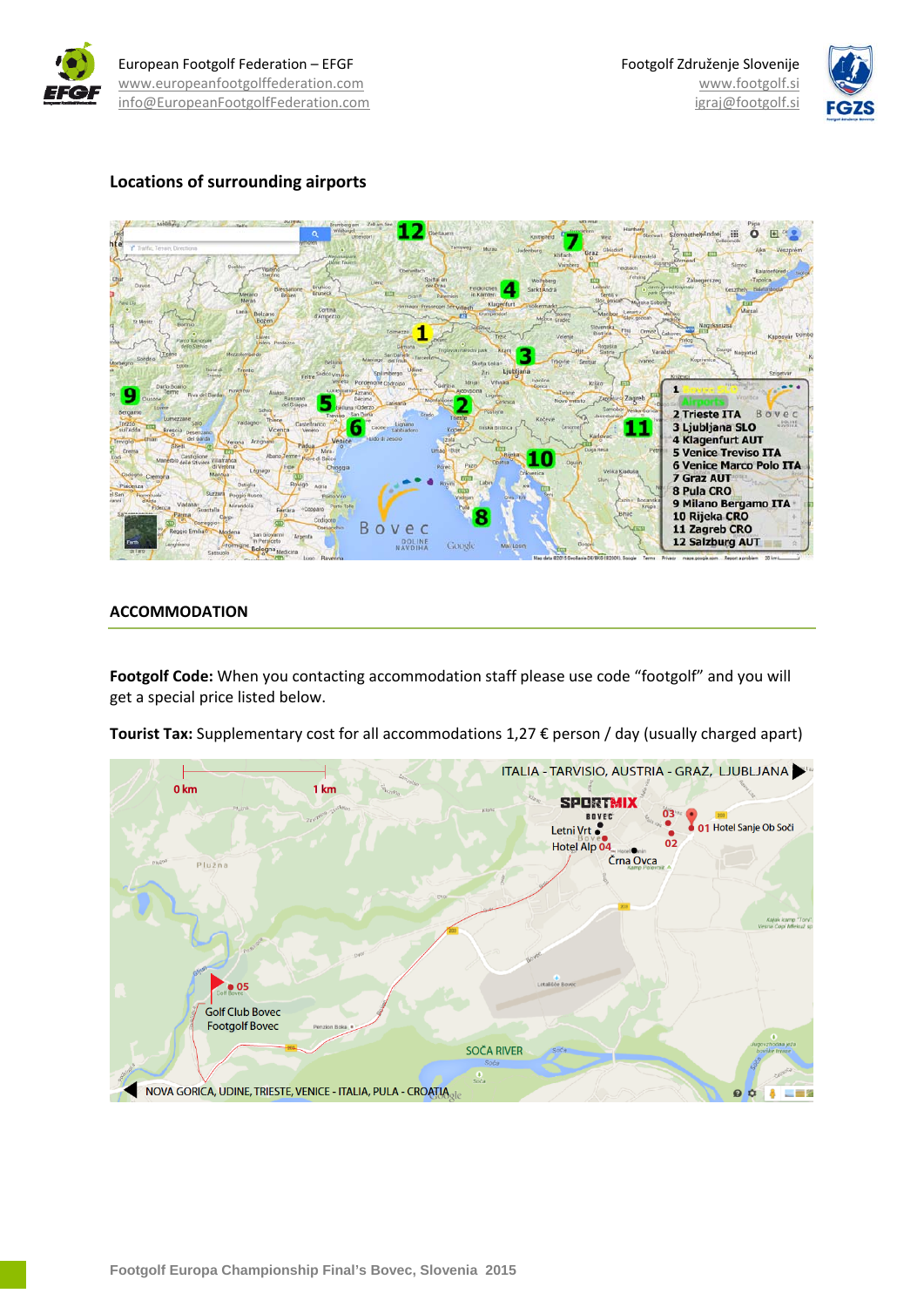



## **Locations of surrounding airports**



#### **ACCOMMODATION**

**Footgolf Code:** When you contacting accommodation staff please use code "footgolf" and you will get a special price listed below.

**Tourist Tax:** Supplementary cost for all accommodations 1,27 € person / day (usually charged apart)

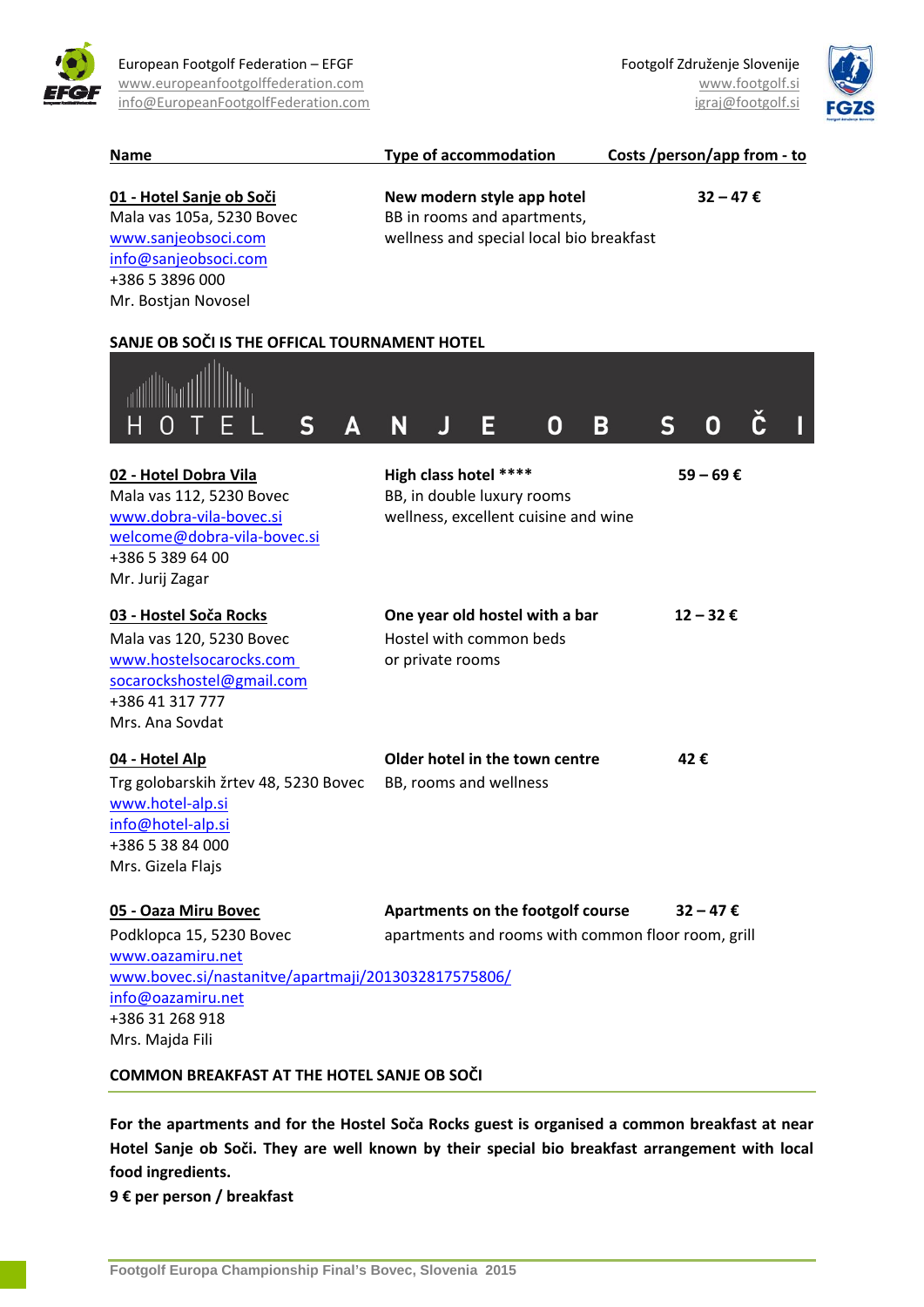

European Footgolf Federation – EFGF www.europeanfootgolffederation.com info@EuropeanFootgolfFederation.com



| Name                                                                                                                                                                                   | Type of accommodation                                                                                              | Costs/person/app from - to |  |  |  |  |  |  |
|----------------------------------------------------------------------------------------------------------------------------------------------------------------------------------------|--------------------------------------------------------------------------------------------------------------------|----------------------------|--|--|--|--|--|--|
| 01 - Hotel Sanje ob Soči<br>Mala vas 105a, 5230 Bovec<br>www.sanjeobsoci.com<br>info@sanjeobsoci.com<br>+386 5 3896 000<br>Mr. Bostjan Novosel                                         | New modern style app hotel<br>32 – 47 €<br>BB in rooms and apartments,<br>wellness and special local bio breakfast |                            |  |  |  |  |  |  |
| SANJE OB SOČI IS THE OFFICAL TOURNAMENT HOTEL                                                                                                                                          |                                                                                                                    |                            |  |  |  |  |  |  |
| S<br>Д                                                                                                                                                                                 | B<br>Ε<br>0                                                                                                        | S                          |  |  |  |  |  |  |
| 02 - Hotel Dobra Vila<br>Mala vas 112, 5230 Bovec<br>www.dobra-vila-bovec.si<br>welcome@dobra-vila-bovec.si<br>+386 5 389 64 00<br>Mr. Jurij Zagar                                     | High class hotel ****<br>BB, in double luxury rooms<br>wellness, excellent cuisine and wine                        | $59 - 69 \text{ }€$        |  |  |  |  |  |  |
| 03 - Hostel Soča Rocks<br>Mala vas 120, 5230 Bovec<br>www.hostelsocarocks.com<br>socarockshostel@gmail.com<br>+386 41 317 777<br>Mrs. Ana Sovdat                                       | One year old hostel with a bar<br>Hostel with common beds<br>or private rooms                                      | $12 - 32 \notin$           |  |  |  |  |  |  |
| 04 - Hotel Alp<br>Trg golobarskih žrtev 48, 5230 Bovec<br>www.hotel-alp.si<br>info@hotel-alp.si<br>+386 5 38 84 000<br>Mrs. Gizela Flajs                                               | Older hotel in the town centre<br>BB, rooms and wellness                                                           | 42€                        |  |  |  |  |  |  |
| 05 - Oaza Miru Bovec<br>Podklopca 15, 5230 Bovec<br>www.oazamiru.net<br>www.bovec.si/nastanitve/apartmaji/2013032817575806/<br>info@oazamiru.net<br>+386 31 268 918<br>Mrs. Majda Fili | Apartments on the footgolf course<br>$32 - 47 \in$<br>apartments and rooms with common floor room, grill           |                            |  |  |  |  |  |  |

**COMMON BREAKFAST AT THE HOTEL SANJE OB SOČI** 

For the apartments and for the Hostel Soča Rocks guest is organised a common breakfast at near **Hotel Sanje ob Soči. They are well known by their special bio breakfast arrangement with local food ingredients.**

**9 € per person / breakfast**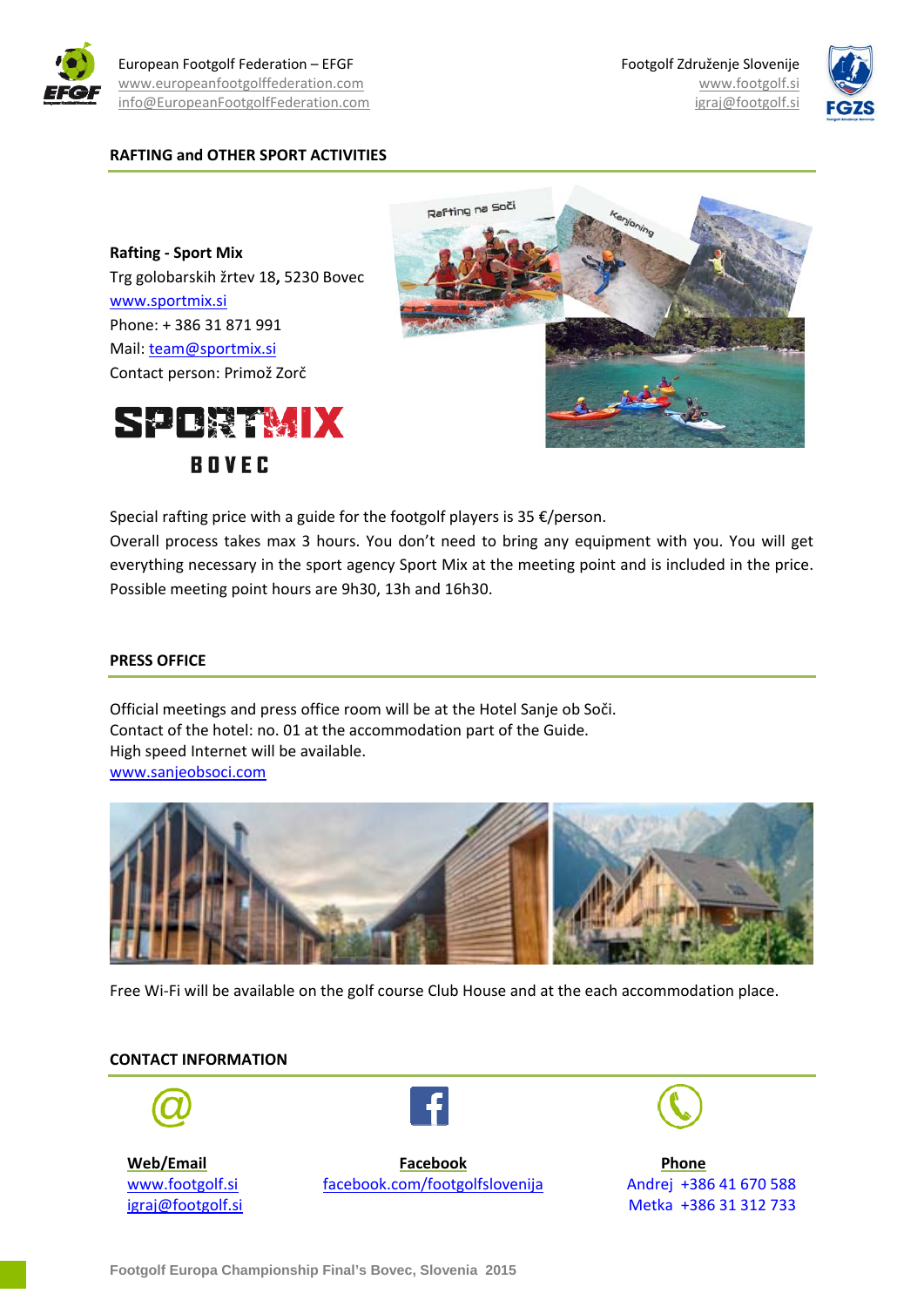

Footgolf Združenje Slovenije www.footgolf.si igraj@footgolf.si



#### **RAFTING and OTHER SPORT ACTIVITIES**

**Rafting ‐ Sport Mix** Trg golobarskih žrtev 18**,** 5230 Bovec www.sportmix.si Phone: + 386 31 871 991 Mail: team@sportmix.si Contact person: Primož Zorč





Special rafting price with a guide for the footgolf players is 35 €/person.

Overall process takes max 3 hours. You don't need to bring any equipment with you. You will get everything necessary in the sport agency Sport Mix at the meeting point and is included in the price. Possible meeting point hours are 9h30, 13h and 16h30.

#### **PRESS OFFICE**

Official meetings and press office room will be at the Hotel Sanje ob Soči. Contact of the hotel: no. 01 at the accommodation part of the Guide. High speed Internet will be available. www.sanjeobsoci.com



Free Wi-Fi will be available on the golf course Club House and at the each accommodation place.

#### **CONTACT INFORMATION**



**Web/Email** www.footgolf.si igraj@footgolf.si

**Facebook** facebook.com/footgolfslovenija



**Phone** Andrej +386 41 670 588 Metka +386 31 312 733